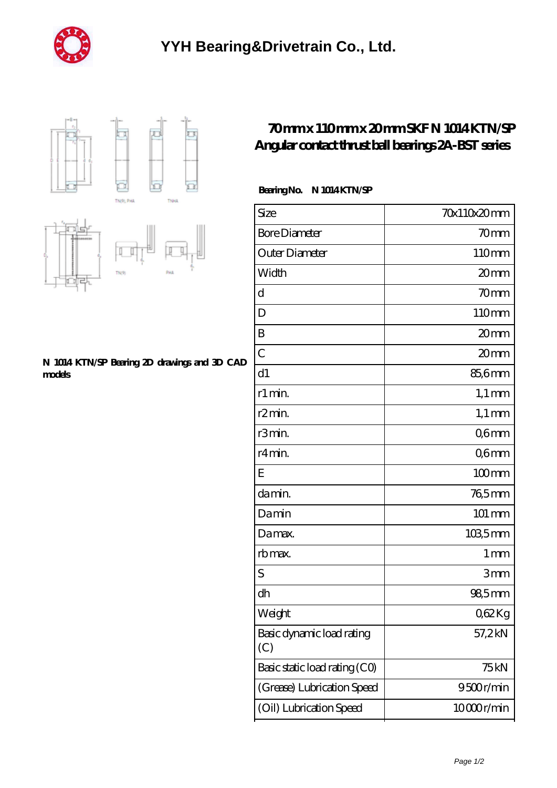





## **[N 1014 KTN/SP Bearing 2D drawings and 3D CAD](https://m.ukryk.com/pic-149283.html) [models](https://m.ukryk.com/pic-149283.html)**

## **[70 mm x 110 mm x 20 mm SKF N 1014 KTN/SP](https://m.ukryk.com/by-149283-skf-n-1014-ktn-sp-angular-contact-thrust-ball-bearings-2a-bst-series.html) [Angular contact thrust ball bearings 2A-BST series](https://m.ukryk.com/by-149283-skf-n-1014-ktn-sp-angular-contact-thrust-ball-bearings-2a-bst-series.html)**

## **Bearing No. N 1014 KTN/SP**

| Size                             | 70x110x20mm        |
|----------------------------------|--------------------|
| <b>Bore Diameter</b>             | 70mm               |
| Outer Diameter                   | 110mm              |
| Width                            | 20mm               |
| d                                | 70 <sub>mm</sub>   |
| D                                | 110mm              |
| B                                | 20 <sub>mm</sub>   |
| $\mathcal{C}$                    | 20mm               |
| d1                               | 85,6mm             |
| r1 min.                          | $1,1 \text{ mm}$   |
| r <sub>2</sub> min.              | $1,1 \text{ mm}$   |
| r3min.                           | Q6mm               |
| r4 min.                          | Q6mm               |
| E                                | $100$ mm           |
| da min.                          | 765mm              |
| Damin                            | $101 \, \text{mm}$ |
| Damax.                           | 1035mm             |
| rb max.                          | 1 <sub>mm</sub>    |
| S                                | 3mm                |
| dh                               | 98,5mm             |
| Weight                           | Q62Kg              |
| Basic dynamic load rating<br>(C) | 57,2kN             |
| Basic static load rating (CO)    | 75 <sub>kN</sub>   |
| (Grease) Lubrication Speed       | 9500r/min          |
| (Oil) Lubrication Speed          | 10000r/min         |